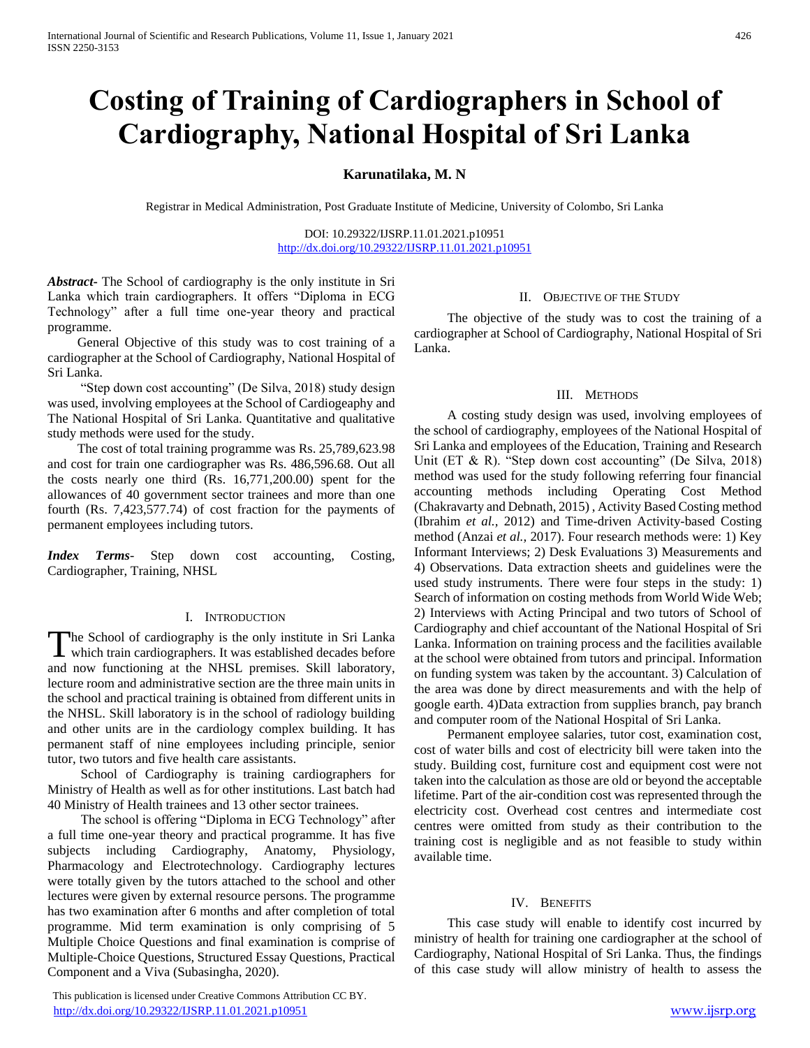# **Costing of Training of Cardiographers in School of Cardiography, National Hospital of Sri Lanka**

#### **Karunatilaka, M. N**

Registrar in Medical Administration, Post Graduate Institute of Medicine, University of Colombo, Sri Lanka

DOI: 10.29322/IJSRP.11.01.2021.p10951 <http://dx.doi.org/10.29322/IJSRP.11.01.2021.p10951>

*Abstract***-** The School of cardiography is the only institute in Sri Lanka which train cardiographers. It offers "Diploma in ECG Technology" after a full time one-year theory and practical programme.

 General Objective of this study was to cost training of a cardiographer at the School of Cardiography, National Hospital of Sri Lanka.

 "Step down cost accounting" (De Silva, 2018) study design was used, involving employees at the School of Cardiogeaphy and The National Hospital of Sri Lanka. Quantitative and qualitative study methods were used for the study.

 The cost of total training programme was Rs. 25,789,623.98 and cost for train one cardiographer was Rs. 486,596.68. Out all the costs nearly one third (Rs. 16,771,200.00) spent for the allowances of 40 government sector trainees and more than one fourth (Rs. 7,423,577.74) of cost fraction for the payments of permanent employees including tutors.

*Index Terms*- Step down cost accounting, Costing, Cardiographer, Training, NHSL

#### I. INTRODUCTION

The School of cardiography is the only institute in Sri Lanka The School of cardiography is the only institute in Sri Lanka<br>which train cardiographers. It was established decades before and now functioning at the NHSL premises. Skill laboratory, lecture room and administrative section are the three main units in the school and practical training is obtained from different units in the NHSL. Skill laboratory is in the school of radiology building and other units are in the cardiology complex building. It has permanent staff of nine employees including principle, senior tutor, two tutors and five health care assistants.

 School of Cardiography is training cardiographers for Ministry of Health as well as for other institutions. Last batch had 40 Ministry of Health trainees and 13 other sector trainees.

 The school is offering "Diploma in ECG Technology" after a full time one-year theory and practical programme. It has five subjects including Cardiography, Anatomy, Physiology, Pharmacology and Electrotechnology. Cardiography lectures were totally given by the tutors attached to the school and other lectures were given by external resource persons. The programme has two examination after 6 months and after completion of total programme. Mid term examination is only comprising of 5 Multiple Choice Questions and final examination is comprise of Multiple-Choice Questions, Structured Essay Questions, Practical Component and a Viva (Subasingha, 2020).

 This publication is licensed under Creative Commons Attribution CC BY. <http://dx.doi.org/10.29322/IJSRP.11.01.2021.p10951> [www.ijsrp.org](http://ijsrp.org/)

#### II. OBJECTIVE OF THE STUDY

 The objective of the study was to cost the training of a cardiographer at School of Cardiography, National Hospital of Sri Lanka.

#### III. METHODS

 A costing study design was used, involving employees of the school of cardiography, employees of the National Hospital of Sri Lanka and employees of the Education, Training and Research Unit (ET & R). "Step down cost accounting" (De Silva, 2018) method was used for the study following referring four financial accounting methods including Operating Cost Method (Chakravarty and Debnath, 2015) , Activity Based Costing method (Ibrahim *et al.,* 2012) and Time-driven Activity-based Costing method (Anzai *et al.,* 2017). Four research methods were: 1) Key Informant Interviews; 2) Desk Evaluations 3) Measurements and 4) Observations. Data extraction sheets and guidelines were the used study instruments. There were four steps in the study: 1) Search of information on costing methods from World Wide Web; 2) Interviews with Acting Principal and two tutors of School of Cardiography and chief accountant of the National Hospital of Sri Lanka. Information on training process and the facilities available at the school were obtained from tutors and principal. Information on funding system was taken by the accountant. 3) Calculation of the area was done by direct measurements and with the help of google earth. 4)Data extraction from supplies branch, pay branch and computer room of the National Hospital of Sri Lanka.

 Permanent employee salaries, tutor cost, examination cost, cost of water bills and cost of electricity bill were taken into the study. Building cost, furniture cost and equipment cost were not taken into the calculation as those are old or beyond the acceptable lifetime. Part of the air-condition cost was represented through the electricity cost. Overhead cost centres and intermediate cost centres were omitted from study as their contribution to the training cost is negligible and as not feasible to study within available time.

#### IV. BENEFITS

 This case study will enable to identify cost incurred by ministry of health for training one cardiographer at the school of Cardiography, National Hospital of Sri Lanka. Thus, the findings of this case study will allow ministry of health to assess the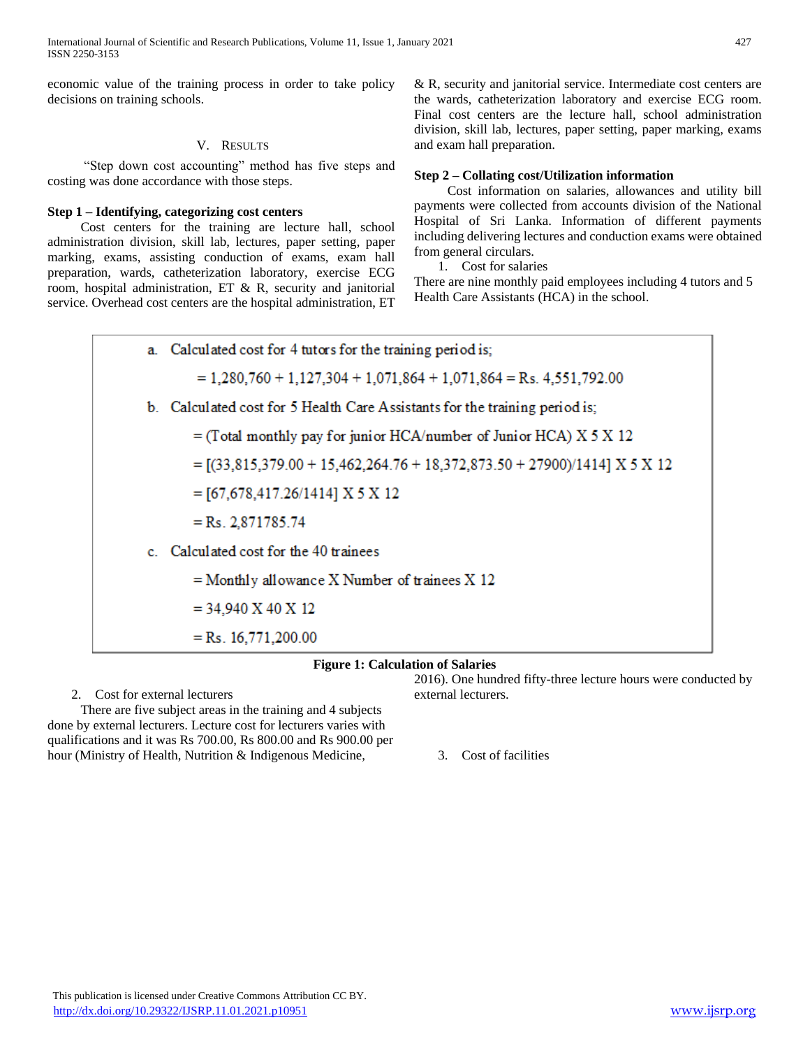International Journal of Scientific and Research Publications, Volume 11, Issue 1, January 2021 427 ISSN 2250-3153

economic value of the training process in order to take policy decisions on training schools.

#### V. RESULTS

 "Step down cost accounting" method has five steps and costing was done accordance with those steps.

#### **Step 1 – Identifying, categorizing cost centers**

 Cost centers for the training are lecture hall, school administration division, skill lab, lectures, paper setting, paper marking, exams, assisting conduction of exams, exam hall preparation, wards, catheterization laboratory, exercise ECG room, hospital administration, ET & R, security and janitorial service. Overhead cost centers are the hospital administration, ET

& R, security and janitorial service. Intermediate cost centers are the wards, catheterization laboratory and exercise ECG room. Final cost centers are the lecture hall, school administration division, skill lab, lectures, paper setting, paper marking, exams and exam hall preparation.

#### **Step 2 – Collating cost/Utilization information**

 Cost information on salaries, allowances and utility bill payments were collected from accounts division of the National Hospital of Sri Lanka. Information of different payments including delivering lectures and conduction exams were obtained from general circulars.

1. Cost for salaries

There are nine monthly paid employees including 4 tutors and 5 Health Care Assistants (HCA) in the school.



#### **Figure 1: Calculation of Salaries**

2. Cost for external lecturers

 There are five subject areas in the training and 4 subjects done by external lecturers. Lecture cost for lecturers varies with qualifications and it was Rs 700.00, Rs 800.00 and Rs 900.00 per hour (Ministry of Health, Nutrition & Indigenous Medicine,

2016). One hundred fifty-three lecture hours were conducted by external lecturers.

3. Cost of facilities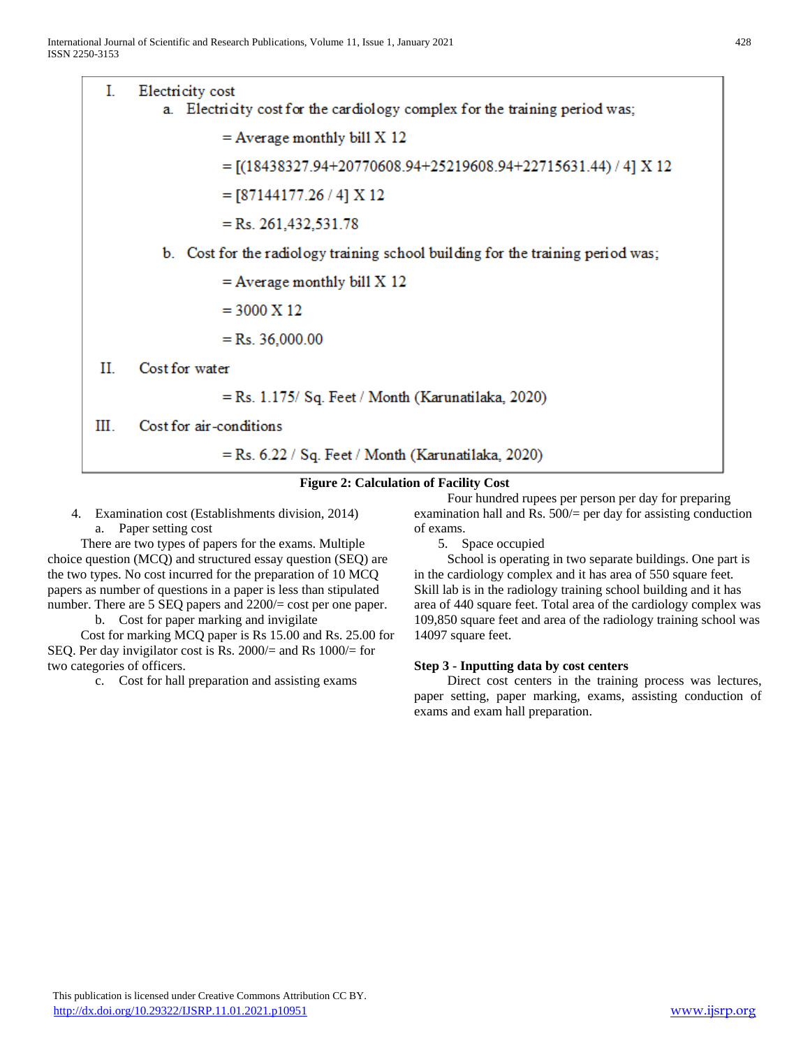L Electricity cost a. Electricity cost for the cardiology complex for the training period was;  $=$  Average monthly bill X 12  $=[(18438327.94+20770608.94+25219608.94+22715631.44)/4] X 12$  $=[87144177.26/4] X 12$  $=$  Rs. 261,432,531.78 b. Cost for the radiology training school building for the training period was;  $=$  Average monthly bill X 12  $= 3000 \text{ X } 12$  $=$  Rs. 36,000.00  $_{\rm II}$ Cost for water  $=$  Rs. 1.175/ Sq. Feet / Month (Karunatilaka, 2020) III. Cost for air-conditions

 $=$  Rs. 6.22 / Sq. Feet / Month (Karunatilaka, 2020)

#### **Figure 2: Calculation of Facility Cost**

4. Examination cost (Establishments division, 2014) a. Paper setting cost

 There are two types of papers for the exams. Multiple choice question (MCQ) and structured essay question (SEQ) are the two types. No cost incurred for the preparation of 10 MCQ papers as number of questions in a paper is less than stipulated number. There are 5 SEQ papers and  $2200/=\text{cost}$  per one paper.

b. Cost for paper marking and invigilate

 Cost for marking MCQ paper is Rs 15.00 and Rs. 25.00 for SEQ. Per day invigilator cost is Rs. 2000/= and Rs 1000/= for two categories of officers.

c. Cost for hall preparation and assisting exams

 Four hundred rupees per person per day for preparing examination hall and Rs.  $500/$  per day for assisting conduction of exams.

5. Space occupied

 School is operating in two separate buildings. One part is in the cardiology complex and it has area of 550 square feet. Skill lab is in the radiology training school building and it has area of 440 square feet. Total area of the cardiology complex was 109,850 square feet and area of the radiology training school was 14097 square feet.

#### **Step 3 - Inputting data by cost centers**

 Direct cost centers in the training process was lectures, paper setting, paper marking, exams, assisting conduction of exams and exam hall preparation.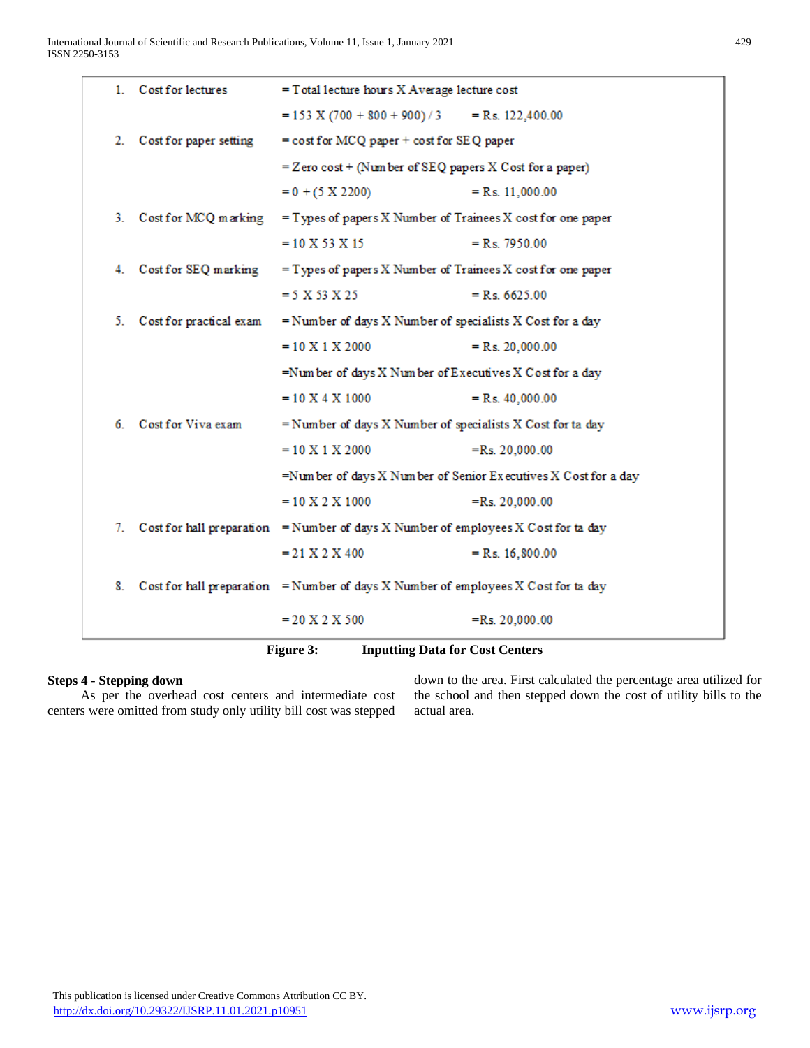|                                                     | 1. Cost for lectures    | $=$ Total lecture hours $X$ Average lecture cost                                       |                    |  |  |
|-----------------------------------------------------|-------------------------|----------------------------------------------------------------------------------------|--------------------|--|--|
|                                                     |                         | $= 153$ X (700 + 800 + 900) / 3                                                        | $=$ Rs. 122,400.00 |  |  |
| 2.                                                  | Cost for paper setting  | $=$ cost for MCQ paper $+$ cost for SEQ paper                                          |                    |  |  |
|                                                     |                         | $=$ Zero cost + (Number of SEQ papers X Cost for a paper)                              |                    |  |  |
|                                                     |                         | $= 0 + (5 \times 2200)$                                                                | $=$ Rs. 11,000.00  |  |  |
|                                                     | 3. Cost for MCQ marking | $=$ Types of papers X Number of Trainees X cost for one paper                          |                    |  |  |
|                                                     |                         | $= 10 X 53 X 15$                                                                       | $=$ Rs. 7950.00    |  |  |
|                                                     | 4. Cost for SEQ marking | $=$ Types of papers X Number of Trainees X cost for one paper                          |                    |  |  |
|                                                     |                         | $= 5 X 53 X 25$                                                                        | $=$ Rs. 6625.00    |  |  |
| 5.                                                  | Cost for practical exam | $=$ Number of days X Number of specialists X Cost for a day                            |                    |  |  |
|                                                     |                         | $= 10 X 1 X 2000$                                                                      | $=$ Rs. 20,000.00  |  |  |
|                                                     |                         | =Number of days $X$ Number of Executives $X$ Cost for a day                            |                    |  |  |
|                                                     |                         | $= 10 X 4 X 1000$                                                                      | $=$ Rs. 40,000.00  |  |  |
|                                                     | 6. Cost for Viva exam   | = Number of days X Number of specialists X Cost for ta day                             |                    |  |  |
|                                                     |                         | $= 10 X 1 X 2000$                                                                      | $=Rs. 20,000.00$   |  |  |
|                                                     |                         | =Number of days X Number of Senior Executives X Cost for a day                         |                    |  |  |
|                                                     |                         | $= 10 \text{ X } 2 \text{ X } 1000$                                                    | $=Rs. 20,000.00$   |  |  |
| 7.                                                  |                         | Cost for hall preparation = Number of days $X$ Number of employees $X$ Cost for ta day |                    |  |  |
|                                                     |                         | $= 21$ X 2 X 400                                                                       | $=$ Rs. 16,800.00  |  |  |
| 8.                                                  |                         | Cost for hall preparation = Number of days X Number of employees X Cost for ta day     |                    |  |  |
|                                                     |                         | $= 20 X 2 X 500$                                                                       | $=Rs. 20,000.00$   |  |  |
| Figure 3:<br><b>Inputting Data for Cost Centers</b> |                         |                                                                                        |                    |  |  |

#### **Steps 4 - Stepping down**

 As per the overhead cost centers and intermediate cost centers were omitted from study only utility bill cost was stepped down to the area. First calculated the percentage area utilized for the school and then stepped down the cost of utility bills to the actual area.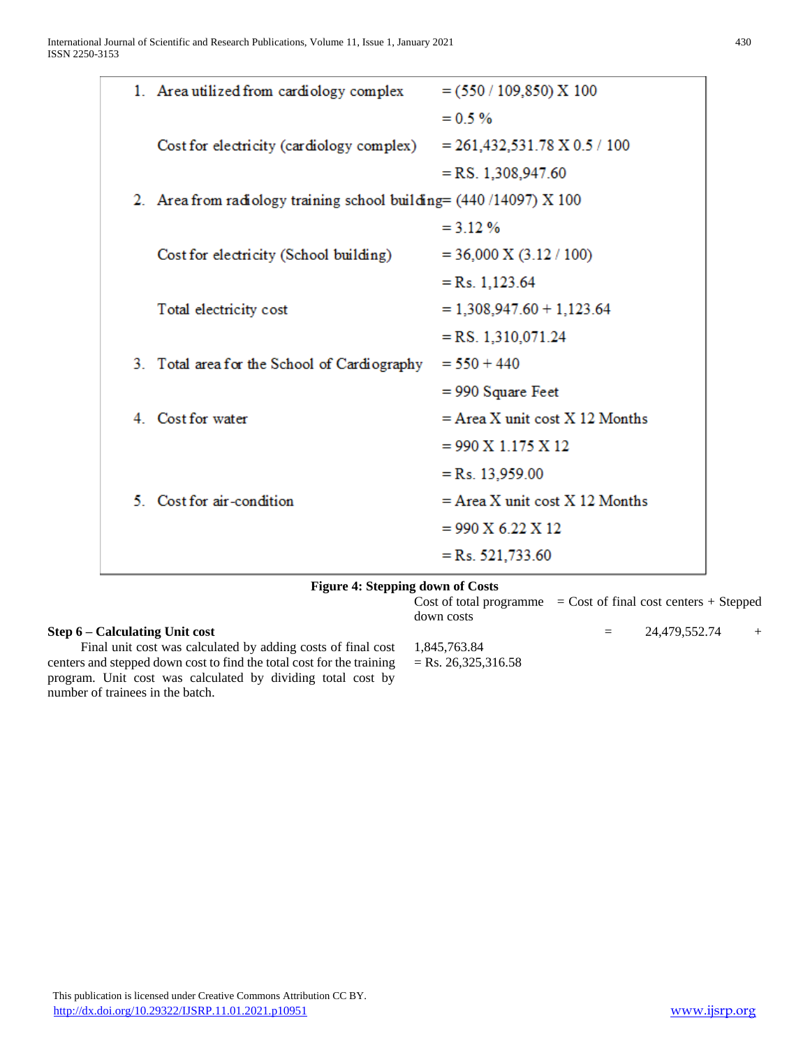| 1. Area utilized from cardiology complex<br>$= (550 / 109, 850)$ X 100<br>$= 0.5 \%$<br>$= 261,432,531.78 \text{ X } 0.5 / 100$<br>Cost for electricity (cardiology complex)<br>$=$ RS. 1,308,947.60<br>2. Area from radiology training school building = $(440/14097)$ X 100<br>$= 312%$ |                                  |  |  |  |  |
|-------------------------------------------------------------------------------------------------------------------------------------------------------------------------------------------------------------------------------------------------------------------------------------------|----------------------------------|--|--|--|--|
|                                                                                                                                                                                                                                                                                           |                                  |  |  |  |  |
|                                                                                                                                                                                                                                                                                           |                                  |  |  |  |  |
|                                                                                                                                                                                                                                                                                           |                                  |  |  |  |  |
|                                                                                                                                                                                                                                                                                           |                                  |  |  |  |  |
|                                                                                                                                                                                                                                                                                           |                                  |  |  |  |  |
|                                                                                                                                                                                                                                                                                           |                                  |  |  |  |  |
| $= 36,000 \text{ X} (3.12 / 100)$<br>Cost for electricity (School building)                                                                                                                                                                                                               |                                  |  |  |  |  |
| $=Rs. 1,123.64$                                                                                                                                                                                                                                                                           |                                  |  |  |  |  |
| Total electricity cost<br>$= 1,308,947.60 + 1,123.64$                                                                                                                                                                                                                                     |                                  |  |  |  |  |
| $=$ RS. 1.310.071.24                                                                                                                                                                                                                                                                      |                                  |  |  |  |  |
| $= 550 + 440$<br>3. Total area for the School of Cardiography                                                                                                                                                                                                                             |                                  |  |  |  |  |
| $= 990$ Square Feet                                                                                                                                                                                                                                                                       |                                  |  |  |  |  |
| 4. Cost for water                                                                                                                                                                                                                                                                         | $=$ Area X unit cost X 12 Months |  |  |  |  |
| $= 990 \text{ X} 1.175 \text{ X} 12$                                                                                                                                                                                                                                                      |                                  |  |  |  |  |
| $=Rs. 13,959.00$                                                                                                                                                                                                                                                                          |                                  |  |  |  |  |
| 5. Cost for air-condition                                                                                                                                                                                                                                                                 | $=$ Area X unit cost X 12 Months |  |  |  |  |
| $= 990 \text{ X } 6.22 \text{ X } 12$                                                                                                                                                                                                                                                     |                                  |  |  |  |  |
| $=Rs. 521,733.60$                                                                                                                                                                                                                                                                         |                                  |  |  |  |  |
| <b>Figure 4: Stepping down of Costs</b>                                                                                                                                                                                                                                                   |                                  |  |  |  |  |

1,845,763.84  $=$  Rs. 26,325,316.58

**Step 6 – Calculating Unit cost** Final unit cost was calculated by adding costs of final cost centers and stepped down cost to find the total cost for the training program. Unit cost was calculated by dividing total cost by number of trainees in the batch.

 $Cost of total programme = Cost of final cost centers + Stephen$ down costs

## $= 24,479,552.74 +$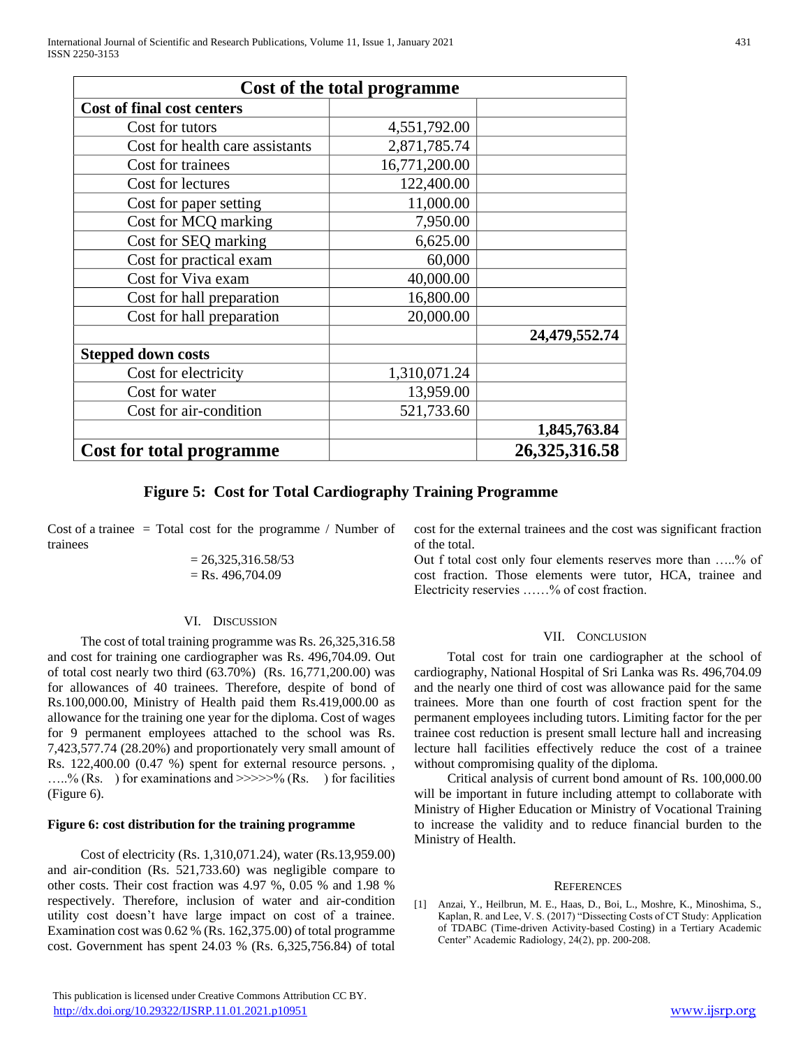| Cost of the total programme       |               |               |  |  |  |
|-----------------------------------|---------------|---------------|--|--|--|
| <b>Cost of final cost centers</b> |               |               |  |  |  |
| Cost for tutors                   | 4,551,792.00  |               |  |  |  |
| Cost for health care assistants   | 2,871,785.74  |               |  |  |  |
| Cost for trainees                 | 16,771,200.00 |               |  |  |  |
| Cost for lectures                 | 122,400.00    |               |  |  |  |
| Cost for paper setting            | 11,000.00     |               |  |  |  |
| Cost for MCQ marking              | 7,950.00      |               |  |  |  |
| Cost for SEQ marking              | 6,625.00      |               |  |  |  |
| Cost for practical exam           | 60,000        |               |  |  |  |
| Cost for Viva exam                | 40,000.00     |               |  |  |  |
| Cost for hall preparation         | 16,800.00     |               |  |  |  |
| Cost for hall preparation         | 20,000.00     |               |  |  |  |
|                                   |               | 24,479,552.74 |  |  |  |
| <b>Stepped down costs</b>         |               |               |  |  |  |
| Cost for electricity              | 1,310,071.24  |               |  |  |  |
| Cost for water                    | 13,959.00     |               |  |  |  |
| Cost for air-condition            | 521,733.60    |               |  |  |  |
|                                   |               | 1,845,763.84  |  |  |  |
| <b>Cost for total programme</b>   | 26,325,316.58 |               |  |  |  |

### **Figure 5: Cost for Total Cardiography Training Programme**

Cost of a trainee  $=$  Total cost for the programme / Number of trainees

$$
= 26,325,316.58/53
$$
  
= Rs. 496,704.09

#### VI. DISCUSSION

 The cost of total training programme was Rs. 26,325,316.58 and cost for training one cardiographer was Rs. 496,704.09. Out of total cost nearly two third (63.70%) (Rs. 16,771,200.00) was for allowances of 40 trainees. Therefore, despite of bond of Rs.100,000.00, Ministry of Health paid them Rs.419,000.00 as allowance for the training one year for the diploma. Cost of wages for 9 permanent employees attached to the school was Rs. 7,423,577.74 (28.20%) and proportionately very small amount of Rs. 122,400.00 (0.47 %) spent for external resource persons. , .....% (Rs. ) for examinations and  $\gg >> >\frac{6}{6}$  (Rs. ) for facilities (Figure 6).

#### **Figure 6: cost distribution for the training programme**

 Cost of electricity (Rs. 1,310,071.24), water (Rs.13,959.00) and air-condition (Rs. 521,733.60) was negligible compare to other costs. Their cost fraction was 4.97 %, 0.05 % and 1.98 % respectively. Therefore, inclusion of water and air-condition utility cost doesn't have large impact on cost of a trainee. Examination cost was 0.62 % (Rs. 162,375.00) of total programme cost. Government has spent 24.03 % (Rs. 6,325,756.84) of total

 This publication is licensed under Creative Commons Attribution CC BY. <http://dx.doi.org/10.29322/IJSRP.11.01.2021.p10951> [www.ijsrp.org](http://ijsrp.org/)

cost for the external trainees and the cost was significant fraction of the total.

Out f total cost only four elements reserves more than …..% of cost fraction. Those elements were tutor, HCA, trainee and Electricity reservies ……% of cost fraction.

#### VII. CONCLUSION

 Total cost for train one cardiographer at the school of cardiography, National Hospital of Sri Lanka was Rs. 496,704.09 and the nearly one third of cost was allowance paid for the same trainees. More than one fourth of cost fraction spent for the permanent employees including tutors. Limiting factor for the per trainee cost reduction is present small lecture hall and increasing lecture hall facilities effectively reduce the cost of a trainee without compromising quality of the diploma.

 Critical analysis of current bond amount of Rs. 100,000.00 will be important in future including attempt to collaborate with Ministry of Higher Education or Ministry of Vocational Training to increase the validity and to reduce financial burden to the Ministry of Health.

#### **REFERENCES**

[1] Anzai, Y., Heilbrun, M. E., Haas, D., Boi, L., Moshre, K., Minoshima, S., Kaplan, R. and Lee, V. S. (2017) "Dissecting Costs of CT Study: Application of TDABC (Time-driven Activity-based Costing) in a Tertiary Academic Center" Academic Radiology, 24(2), pp. 200-208.